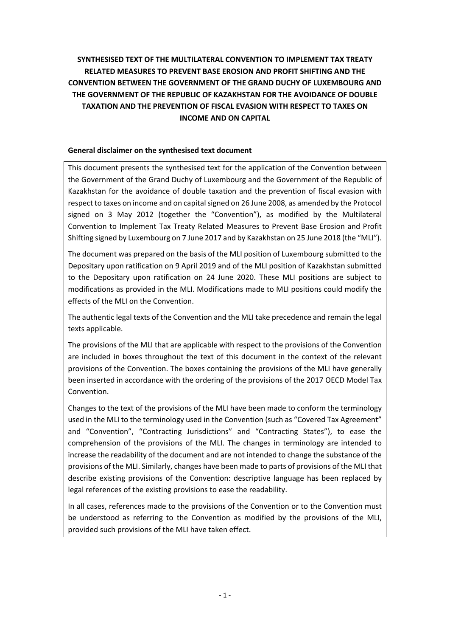# **SYNTHESISED TEXT OF THE MULTILATERAL CONVENTION TO IMPLEMENT TAX TREATY RELATED MEASURES TO PREVENT BASE EROSION AND PROFIT SHIFTING AND THE CONVENTION BETWEEN THE GOVERNMENT OF THE GRAND DUCHY OF LUXEMBOURG AND THE GOVERNMENT OF THE REPUBLIC OF KAZAKHSTAN FOR THE AVOIDANCE OF DOUBLE TAXATION AND THE PREVENTION OF FISCAL EVASION WITH RESPECT TO TAXES ON INCOME AND ON CAPITAL**

### **General disclaimer on the synthesised text document**

This document presents the synthesised text for the application of the Convention between the Government of the Grand Duchy of Luxembourg and the Government of the Republic of Kazakhstan for the avoidance of double taxation and the prevention of fiscal evasion with respect to taxes on income and on capital signed on 26 June 2008, as amended by the Protocol signed on 3 May 2012 (together the "Convention"), as modified by the Multilateral Convention to Implement Tax Treaty Related Measures to Prevent Base Erosion and Profit Shifting signed by Luxembourg on 7 June 2017 and by Kazakhstan on 25 June 2018 (the "MLI").

The document was prepared on the basis of the MLI position of Luxembourg submitted to the Depositary upon ratification on 9 April 2019 and of the MLI position of Kazakhstan submitted to the Depositary upon ratification on 24 June 2020. These MLI positions are subject to modifications as provided in the MLI. Modifications made to MLI positions could modify the effects of the MLI on the Convention.

The authentic legal texts of the Convention and the MLI take precedence and remain the legal texts applicable.

The provisions of the MLI that are applicable with respect to the provisions of the Convention are included in boxes throughout the text of this document in the context of the relevant provisions of the Convention. The boxes containing the provisions of the MLI have generally been inserted in accordance with the ordering of the provisions of the 2017 OECD Model Tax Convention.

Changes to the text of the provisions of the MLI have been made to conform the terminology used in the MLI to the terminology used in the Convention (such as "Covered Tax Agreement" and "Convention", "Contracting Jurisdictions" and "Contracting States"), to ease the comprehension of the provisions of the MLI. The changes in terminology are intended to increase the readability of the document and are not intended to change the substance of the provisions of the MLI. Similarly, changes have been made to parts of provisions of the MLI that describe existing provisions of the Convention: descriptive language has been replaced by legal references of the existing provisions to ease the readability.

In all cases, references made to the provisions of the Convention or to the Convention must be understood as referring to the Convention as modified by the provisions of the MLI, provided such provisions of the MLI have taken effect.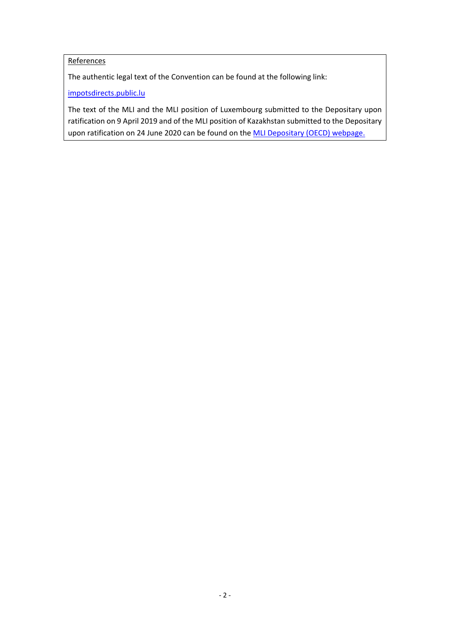# **References**

The authentic legal text of the Convention can be found at the following link:

[impotsdirects.public.lu](https://impotsdirects.public.lu/fr.html)

The text of the MLI and the MLI position of Luxembourg submitted to the Depositary upon ratification on 9 April 2019 and of the MLI position of Kazakhstan submitted to the Depositary upon ratification on 24 June 2020 can be found on the [MLI Depositary \(OECD\) webpage.](https://www.oecd.org/tax/treaties/multilateral-convention-to-implement-tax-treaty-related-measures-to-prevent-beps.htm)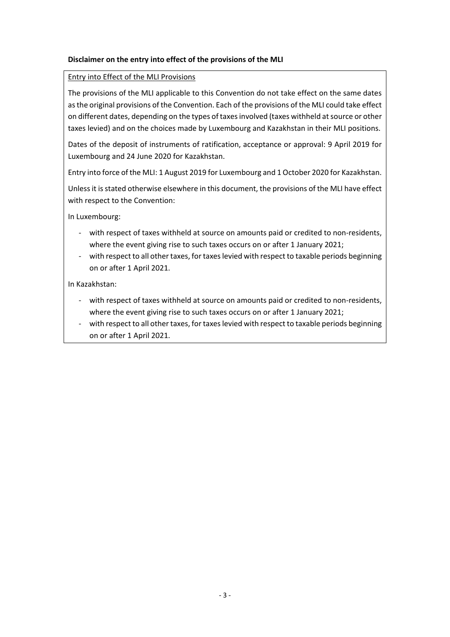# **Disclaimer on the entry into effect of the provisions of the MLI**

#### Entry into Effect of the MLI Provisions

The provisions of the MLI applicable to this Convention do not take effect on the same dates as the original provisions of the Convention. Each of the provisions of the MLI could take effect on different dates, depending on the types of taxes involved (taxes withheld at source or other taxes levied) and on the choices made by Luxembourg and Kazakhstan in their MLI positions.

Dates of the deposit of instruments of ratification, acceptance or approval: 9 April 2019 for Luxembourg and 24 June 2020 for Kazakhstan.

Entry into force of the MLI: 1 August 2019 for Luxembourg and 1 October 2020 for Kazakhstan.

Unless it is stated otherwise elsewhere in this document, the provisions of the MLI have effect with respect to the Convention:

In Luxembourg:

- with respect of taxes withheld at source on amounts paid or credited to non-residents, where the event giving rise to such taxes occurs on or after 1 January 2021;
- with respect to all other taxes, for taxes levied with respect to taxable periods beginning on or after 1 April 2021.

In Kazakhstan:

- with respect of taxes withheld at source on amounts paid or credited to non-residents, where the event giving rise to such taxes occurs on or after 1 January 2021;
- with respect to all other taxes, for taxes levied with respect to taxable periods beginning on or after 1 April 2021.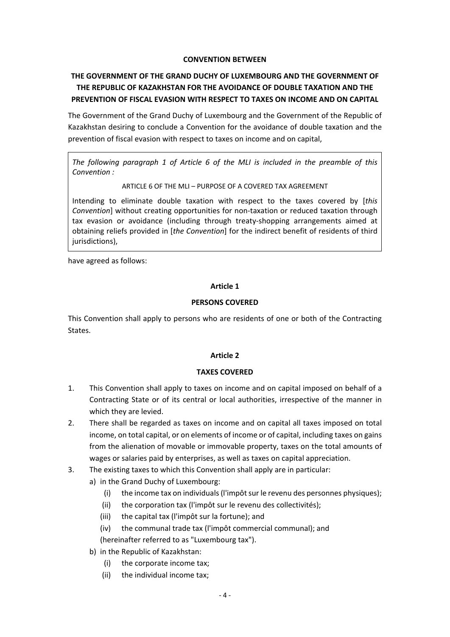### **CONVENTION BETWEEN**

# **THE GOVERNMENT OF THE GRAND DUCHY OF LUXEMBOURG AND THE GOVERNMENT OF THE REPUBLIC OF KAZAKHSTAN FOR THE AVOIDANCE OF DOUBLE TAXATION AND THE PREVENTION OF FISCAL EVASION WITH RESPECT TO TAXES ON INCOME AND ON CAPITAL**

The Government of the Grand Duchy of Luxembourg and the Government of the Republic of Kazakhstan desiring to conclude a Convention for the avoidance of double taxation and the prevention of fiscal evasion with respect to taxes on income and on capital,

*The following paragraph 1 of Article 6 of the MLI is included in the preamble of this Convention :*

ARTICLE 6 OF THE MLI – PURPOSE OF A COVERED TAX AGREEMENT

Intending to eliminate double taxation with respect to the taxes covered by [*this Convention*] without creating opportunities for non-taxation or reduced taxation through tax evasion or avoidance (including through treaty-shopping arrangements aimed at obtaining reliefs provided in [*the Convention*] for the indirect benefit of residents of third jurisdictions),

have agreed as follows:

# **Article 1**

### **PERSONS COVERED**

This Convention shall apply to persons who are residents of one or both of the Contracting States.

# **Article 2**

# **TAXES COVERED**

- 1. This Convention shall apply to taxes on income and on capital imposed on behalf of a Contracting State or of its central or local authorities, irrespective of the manner in which they are levied.
- 2. There shall be regarded as taxes on income and on capital all taxes imposed on total income, on total capital, or on elements of income or of capital, including taxes on gains from the alienation of movable or immovable property, taxes on the total amounts of wages or salaries paid by enterprises, as well as taxes on capital appreciation.
- 3. The existing taxes to which this Convention shall apply are in particular:
	- a) in the Grand Duchy of Luxembourg:
		- (i) the income tax on individuals (l'impôt sur le revenu des personnes physiques);
		- (ii) the corporation tax (l'impôt sur le revenu des collectivités);
		- (iii) the capital tax (l'impôt sur la fortune); and
		- (iv) the communal trade tax (l'impôt commercial communal); and
		- (hereinafter referred to as "Luxembourg tax").
	- b) in the Republic of Kazakhstan:
		- (i) the corporate income tax;
		- (ii) the individual income tax;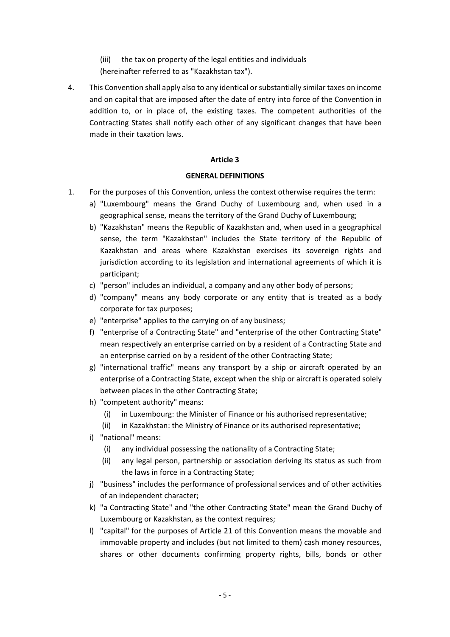(iii) the tax on property of the legal entities and individuals (hereinafter referred to as "Kazakhstan tax").

4. This Convention shall apply also to any identical or substantially similar taxes on income and on capital that are imposed after the date of entry into force of the Convention in addition to, or in place of, the existing taxes. The competent authorities of the Contracting States shall notify each other of any significant changes that have been made in their taxation laws.

### **Article 3**

# **GENERAL DEFINITIONS**

- 1. For the purposes of this Convention, unless the context otherwise requires the term:
	- a) "Luxembourg" means the Grand Duchy of Luxembourg and, when used in a geographical sense, means the territory of the Grand Duchy of Luxembourg;
	- b) "Kazakhstan" means the Republic of Kazakhstan and, when used in a geographical sense, the term "Kazakhstan" includes the State territory of the Republic of Kazakhstan and areas where Kazakhstan exercises its sovereign rights and jurisdiction according to its legislation and international agreements of which it is participant;
	- c) "person" includes an individual, a company and any other body of persons;
	- d) "company" means any body corporate or any entity that is treated as a body corporate for tax purposes;
	- e) "enterprise" applies to the carrying on of any business;
	- f) "enterprise of a Contracting State" and "enterprise of the other Contracting State" mean respectively an enterprise carried on by a resident of a Contracting State and an enterprise carried on by a resident of the other Contracting State;
	- g) "international traffic" means any transport by a ship or aircraft operated by an enterprise of a Contracting State, except when the ship or aircraft is operated solely between places in the other Contracting State;
	- h) "competent authority" means:
		- (i) in Luxembourg: the Minister of Finance or his authorised representative;
		- (ii) in Kazakhstan: the Ministry of Finance or its authorised representative;
	- i) "national" means:
		- (i) any individual possessing the nationality of a Contracting State;
		- (ii) any legal person, partnership or association deriving its status as such from the laws in force in a Contracting State;
	- j) "business" includes the performance of professional services and of other activities of an independent character;
	- k) "a Contracting State" and "the other Contracting State" mean the Grand Duchy of Luxembourg or Kazakhstan, as the context requires;
	- l) "capital" for the purposes of Article 21 of this Convention means the movable and immovable property and includes (but not limited to them) cash money resources, shares or other documents confirming property rights, bills, bonds or other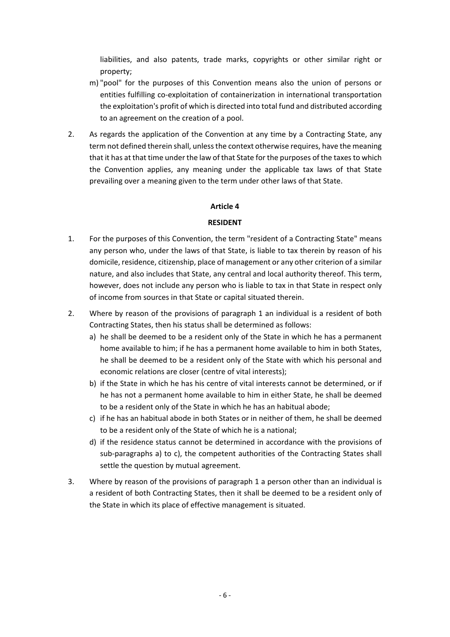liabilities, and also patents, trade marks, copyrights or other similar right or property;

- m) "pool" for the purposes of this Convention means also the union of persons or entities fulfilling co-exploitation of containerization in international transportation the exploitation's profit of which is directed into total fund and distributed according to an agreement on the creation of a pool.
- 2. As regards the application of the Convention at any time by a Contracting State, any term not defined therein shall, unless the context otherwise requires, have the meaning that it has at that time under the law of that State for the purposes of the taxes to which the Convention applies, any meaning under the applicable tax laws of that State prevailing over a meaning given to the term under other laws of that State.

### **Article 4**

#### **RESIDENT**

- 1. For the purposes of this Convention, the term "resident of a Contracting State" means any person who, under the laws of that State, is liable to tax therein by reason of his domicile, residence, citizenship, place of management or any other criterion of a similar nature, and also includes that State, any central and local authority thereof. This term, however, does not include any person who is liable to tax in that State in respect only of income from sources in that State or capital situated therein.
- 2. Where by reason of the provisions of paragraph 1 an individual is a resident of both Contracting States, then his status shall be determined as follows:
	- a) he shall be deemed to be a resident only of the State in which he has a permanent home available to him; if he has a permanent home available to him in both States, he shall be deemed to be a resident only of the State with which his personal and economic relations are closer (centre of vital interests);
	- b) if the State in which he has his centre of vital interests cannot be determined, or if he has not a permanent home available to him in either State, he shall be deemed to be a resident only of the State in which he has an habitual abode;
	- c) if he has an habitual abode in both States or in neither of them, he shall be deemed to be a resident only of the State of which he is a national;
	- d) if the residence status cannot be determined in accordance with the provisions of sub-paragraphs a) to c), the competent authorities of the Contracting States shall settle the question by mutual agreement.
- 3. Where by reason of the provisions of paragraph 1 a person other than an individual is a resident of both Contracting States, then it shall be deemed to be a resident only of the State in which its place of effective management is situated.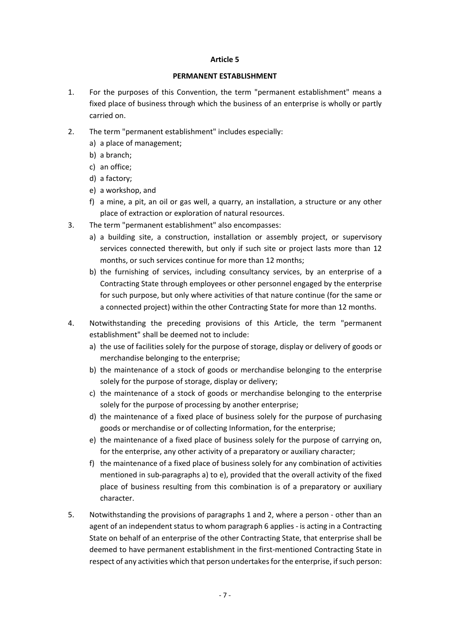### **PERMANENT ESTABLISHMENT**

- 1. For the purposes of this Convention, the term "permanent establishment" means a fixed place of business through which the business of an enterprise is wholly or partly carried on.
- 2. The term "permanent establishment" includes especially:
	- a) a place of management;
	- b) a branch;
	- c) an office;
	- d) a factory;
	- e) a workshop, and
	- f) a mine, a pit, an oil or gas well, a quarry, an installation, a structure or any other place of extraction or exploration of natural resources.
- 3. The term "permanent establishment" also encompasses:
	- a) a building site, a construction, installation or assembly project, or supervisory services connected therewith, but only if such site or project lasts more than 12 months, or such services continue for more than 12 months;
	- b) the furnishing of services, including consultancy services, by an enterprise of a Contracting State through employees or other personnel engaged by the enterprise for such purpose, but only where activities of that nature continue (for the same or a connected project) within the other Contracting State for more than 12 months.
- 4. Notwithstanding the preceding provisions of this Article, the term "permanent establishment" shall be deemed not to include:
	- a) the use of facilities solely for the purpose of storage, display or delivery of goods or merchandise belonging to the enterprise;
	- b) the maintenance of a stock of goods or merchandise belonging to the enterprise solely for the purpose of storage, display or delivery;
	- c) the maintenance of a stock of goods or merchandise belonging to the enterprise solely for the purpose of processing by another enterprise;
	- d) the maintenance of a fixed place of business solely for the purpose of purchasing goods or merchandise or of collecting Information, for the enterprise;
	- e) the maintenance of a fixed place of business solely for the purpose of carrying on, for the enterprise, any other activity of a preparatory or auxiliary character;
	- f) the maintenance of a fixed place of business solely for any combination of activities mentioned in sub-paragraphs a) to e), provided that the overall activity of the fixed place of business resulting from this combination is of a preparatory or auxiliary character.
- 5. Notwithstanding the provisions of paragraphs 1 and 2, where a person other than an agent of an independent status to whom paragraph 6 applies - is acting in a Contracting State on behalf of an enterprise of the other Contracting State, that enterprise shall be deemed to have permanent establishment in the first-mentioned Contracting State in respect of any activities which that person undertakes for the enterprise, if such person: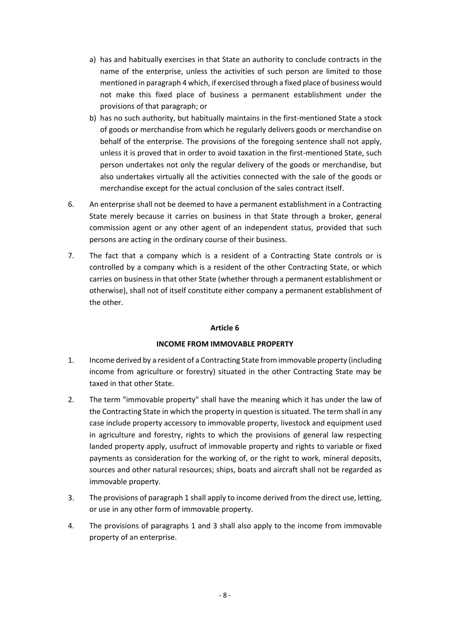- a) has and habitually exercises in that State an authority to conclude contracts in the name of the enterprise, unless the activities of such person are limited to those mentioned in paragraph 4 which, if exercised through a fixed place of business would not make this fixed place of business a permanent establishment under the provisions of that paragraph; or
- b) has no such authority, but habitually maintains in the first-mentioned State a stock of goods or merchandise from which he regularly delivers goods or merchandise on behalf of the enterprise. The provisions of the foregoing sentence shall not apply, unless it is proved that in order to avoid taxation in the first-mentioned State, such person undertakes not only the regular delivery of the goods or merchandise, but also undertakes virtually all the activities connected with the sale of the goods or merchandise except for the actual conclusion of the sales contract itself.
- 6. An enterprise shall not be deemed to have a permanent establishment in a Contracting State merely because it carries on business in that State through a broker, general commission agent or any other agent of an independent status, provided that such persons are acting in the ordinary course of their business.
- 7. The fact that a company which is a resident of a Contracting State controls or is controlled by a company which is a resident of the other Contracting State, or which carries on business in that other State (whether through a permanent establishment or otherwise), shall not of itself constitute either company a permanent establishment of the other.

# **INCOME FROM IMMOVABLE PROPERTY**

- 1. Income derived by a resident of a Contracting State from immovable property (including income from agriculture or forestry) situated in the other Contracting State may be taxed in that other State.
- 2. The term "immovable property" shall have the meaning which it has under the law of the Contracting State in which the property in question is situated. The term shall in any case include property accessory to immovable property, livestock and equipment used in agriculture and forestry, rights to which the provisions of general law respecting landed property apply, usufruct of immovable property and rights to variable or fixed payments as consideration for the working of, or the right to work, mineral deposits, sources and other natural resources; ships, boats and aircraft shall not be regarded as immovable property.
- 3. The provisions of paragraph 1 shall apply to income derived from the direct use, letting, or use in any other form of immovable property.
- 4. The provisions of paragraphs 1 and 3 shall also apply to the income from immovable property of an enterprise.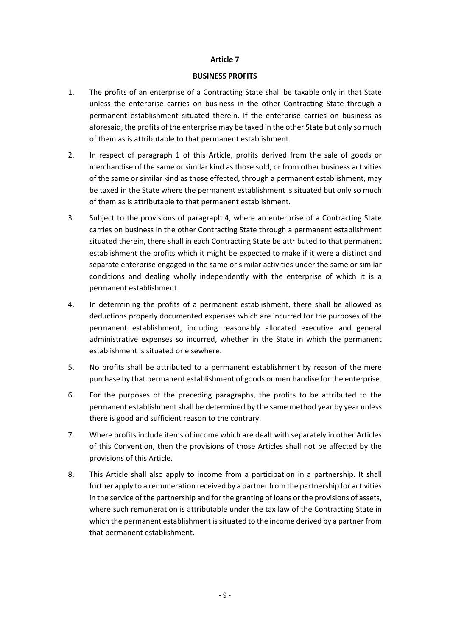#### **BUSINESS PROFITS**

- 1. The profits of an enterprise of a Contracting State shall be taxable only in that State unless the enterprise carries on business in the other Contracting State through a permanent establishment situated therein. If the enterprise carries on business as aforesaid, the profits of the enterprise may be taxed in the other State but only so much of them as is attributable to that permanent establishment.
- 2. In respect of paragraph 1 of this Article, profits derived from the sale of goods or merchandise of the same or similar kind as those sold, or from other business activities of the same or similar kind as those effected, through a permanent establishment, may be taxed in the State where the permanent establishment is situated but only so much of them as is attributable to that permanent establishment.
- 3. Subject to the provisions of paragraph 4, where an enterprise of a Contracting State carries on business in the other Contracting State through a permanent establishment situated therein, there shall in each Contracting State be attributed to that permanent establishment the profits which it might be expected to make if it were a distinct and separate enterprise engaged in the same or similar activities under the same or similar conditions and dealing wholly independently with the enterprise of which it is a permanent establishment.
- 4. In determining the profits of a permanent establishment, there shall be allowed as deductions properly documented expenses which are incurred for the purposes of the permanent establishment, including reasonably allocated executive and general administrative expenses so incurred, whether in the State in which the permanent establishment is situated or elsewhere.
- 5. No profits shall be attributed to a permanent establishment by reason of the mere purchase by that permanent establishment of goods or merchandise for the enterprise.
- 6. For the purposes of the preceding paragraphs, the profits to be attributed to the permanent establishment shall be determined by the same method year by year unless there is good and sufficient reason to the contrary.
- 7. Where profits include items of income which are dealt with separately in other Articles of this Convention, then the provisions of those Articles shall not be affected by the provisions of this Article.
- 8. This Article shall also apply to income from a participation in a partnership. It shall further apply to a remuneration received by a partner from the partnership for activities in the service of the partnership and for the granting of loans or the provisions of assets, where such remuneration is attributable under the tax law of the Contracting State in which the permanent establishment is situated to the income derived by a partner from that permanent establishment.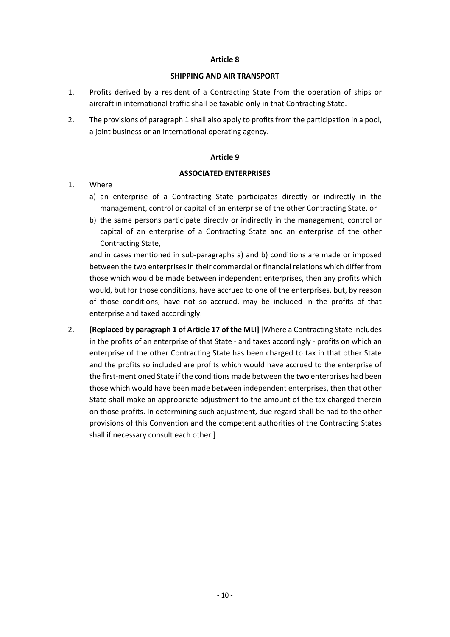### **SHIPPING AND AIR TRANSPORT**

- 1. Profits derived by a resident of a Contracting State from the operation of ships or aircraft in international traffic shall be taxable only in that Contracting State.
- 2. The provisions of paragraph 1 shall also apply to profits from the participation in a pool, a joint business or an international operating agency.

### **Article 9**

# **ASSOCIATED ENTERPRISES**

# 1. Where

- a) an enterprise of a Contracting State participates directly or indirectly in the management, control or capital of an enterprise of the other Contracting State, or
- b) the same persons participate directly or indirectly in the management, control or capital of an enterprise of a Contracting State and an enterprise of the other Contracting State,

and in cases mentioned in sub-paragraphs a) and b) conditions are made or imposed between the two enterprises in their commercial or financial relations which differ from those which would be made between independent enterprises, then any profits which would, but for those conditions, have accrued to one of the enterprises, but, by reason of those conditions, have not so accrued, may be included in the profits of that enterprise and taxed accordingly.

2. **[Replaced by paragraph 1 of Article 17 of the MLI]** [Where a Contracting State includes in the profits of an enterprise of that State - and taxes accordingly - profits on which an enterprise of the other Contracting State has been charged to tax in that other State and the profits so included are profits which would have accrued to the enterprise of the first-mentioned State if the conditions made between the two enterprises had been those which would have been made between independent enterprises, then that other State shall make an appropriate adjustment to the amount of the tax charged therein on those profits. In determining such adjustment, due regard shall be had to the other provisions of this Convention and the competent authorities of the Contracting States shall if necessary consult each other.]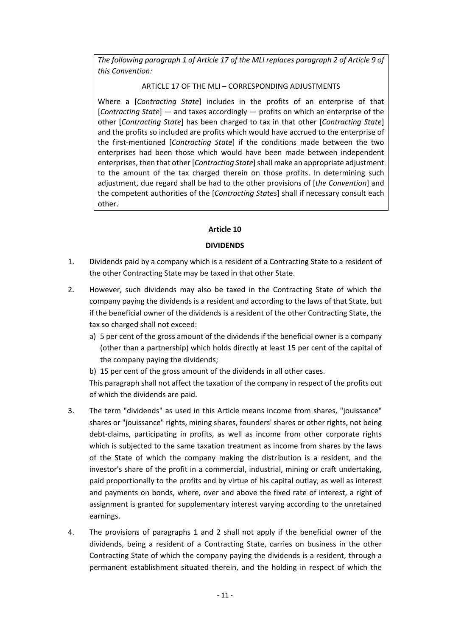*The following paragraph 1 of Article 17 of the MLI replaces paragraph 2 of Article 9 of this Convention:* 

ARTICLE 17 OF THE MLI – CORRESPONDING ADJUSTMENTS

Where a [*Contracting State*] includes in the profits of an enterprise of that [*Contracting State*] — and taxes accordingly — profits on which an enterprise of the other [*Contracting State*] has been charged to tax in that other [*Contracting State*] and the profits so included are profits which would have accrued to the enterprise of the first-mentioned [*Contracting State*] if the conditions made between the two enterprises had been those which would have been made between independent enterprises, then that other [*Contracting State*] shall make an appropriate adjustment to the amount of the tax charged therein on those profits. In determining such adjustment, due regard shall be had to the other provisions of [*the Convention*] and the competent authorities of the [*Contracting States*] shall if necessary consult each other.

# **Article 10**

# **DIVIDENDS**

- 1. Dividends paid by a company which is a resident of a Contracting State to a resident of the other Contracting State may be taxed in that other State.
- 2. However, such dividends may also be taxed in the Contracting State of which the company paying the dividends is a resident and according to the laws of that State, but if the beneficial owner of the dividends is a resident of the other Contracting State, the tax so charged shall not exceed:
	- a) 5 per cent of the gross amount of the dividends if the beneficial owner is a company (other than a partnership) which holds directly at least 15 per cent of the capital of the company paying the dividends;
	- b) 15 per cent of the gross amount of the dividends in all other cases.

This paragraph shall not affect the taxation of the company in respect of the profits out of which the dividends are paid.

- 3. The term "dividends" as used in this Article means income from shares, "jouissance" shares or "jouissance" rights, mining shares, founders' shares or other rights, not being debt-claims, participating in profits, as well as income from other corporate rights which is subjected to the same taxation treatment as income from shares by the laws of the State of which the company making the distribution is a resident, and the investor's share of the profit in a commercial, industrial, mining or craft undertaking, paid proportionally to the profits and by virtue of his capital outlay, as well as interest and payments on bonds, where, over and above the fixed rate of interest, a right of assignment is granted for supplementary interest varying according to the unretained earnings.
- 4. The provisions of paragraphs 1 and 2 shall not apply if the beneficial owner of the dividends, being a resident of a Contracting State, carries on business in the other Contracting State of which the company paying the dividends is a resident, through a permanent establishment situated therein, and the holding in respect of which the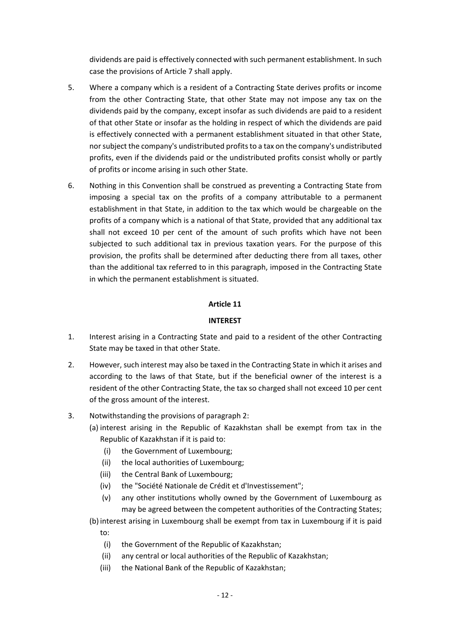dividends are paid is effectively connected with such permanent establishment. In such case the provisions of Article 7 shall apply.

- 5. Where a company which is a resident of a Contracting State derives profits or income from the other Contracting State, that other State may not impose any tax on the dividends paid by the company, except insofar as such dividends are paid to a resident of that other State or insofar as the holding in respect of which the dividends are paid is effectively connected with a permanent establishment situated in that other State, nor subject the company's undistributed profits to a tax on the company's undistributed profits, even if the dividends paid or the undistributed profits consist wholly or partly of profits or income arising in such other State.
- 6. Nothing in this Convention shall be construed as preventing a Contracting State from imposing a special tax on the profits of a company attributable to a permanent establishment in that State, in addition to the tax which would be chargeable on the profits of a company which is a national of that State, provided that any additional tax shall not exceed 10 per cent of the amount of such profits which have not been subjected to such additional tax in previous taxation years. For the purpose of this provision, the profits shall be determined after deducting there from all taxes, other than the additional tax referred to in this paragraph, imposed in the Contracting State in which the permanent establishment is situated.

# **Article 11**

# **INTEREST**

- 1. Interest arising in a Contracting State and paid to a resident of the other Contracting State may be taxed in that other State.
- 2. However, such interest may also be taxed in the Contracting State in which it arises and according to the laws of that State, but if the beneficial owner of the interest is a resident of the other Contracting State, the tax so charged shall not exceed 10 per cent of the gross amount of the interest.
- 3. Notwithstanding the provisions of paragraph 2:
	- (a) interest arising in the Republic of Kazakhstan shall be exempt from tax in the Republic of Kazakhstan if it is paid to:
		- (i) the Government of Luxembourg;
		- (ii) the local authorities of Luxembourg;
		- (iii) the Central Bank of Luxembourg;
		- (iv) the "Société Nationale de Crédit et d'Investissement";
		- (v) any other institutions wholly owned by the Government of Luxembourg as may be agreed between the competent authorities of the Contracting States;
	- (b) interest arising in Luxembourg shall be exempt from tax in Luxembourg if it is paid to:
		- (i) the Government of the Republic of Kazakhstan;
		- (ii) any central or local authorities of the Republic of Kazakhstan;
		- (iii) the National Bank of the Republic of Kazakhstan;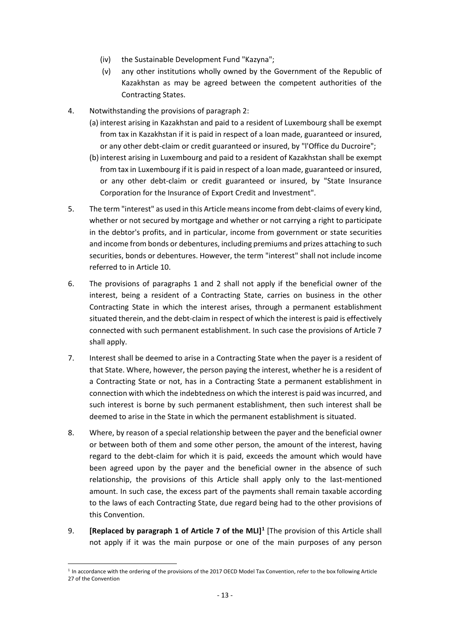- (iv) the Sustainable Development Fund "Kazyna";
- (v) any other institutions wholly owned by the Government of the Republic of Kazakhstan as may be agreed between the competent authorities of the Contracting States.
- 4. Notwithstanding the provisions of paragraph 2:
	- (a) interest arising in Kazakhstan and paid to a resident of Luxembourg shall be exempt from tax in Kazakhstan if it is paid in respect of a loan made, guaranteed or insured, or any other debt-claim or credit guaranteed or insured, by "l'Office du Ducroire";
	- (b) interest arising in Luxembourg and paid to a resident of Kazakhstan shall be exempt from tax in Luxembourg if it is paid in respect of a loan made, guaranteed or insured, or any other debt-claim or credit guaranteed or insured, by "State Insurance Corporation for the Insurance of Export Credit and Investment".
- 5. The term "interest" as used in this Article means income from debt-claims of every kind, whether or not secured by mortgage and whether or not carrying a right to participate in the debtor's profits, and in particular, income from government or state securities and income from bonds or debentures, including premiums and prizes attaching to such securities, bonds or debentures. However, the term "interest" shall not include income referred to in Article 10.
- 6. The provisions of paragraphs 1 and 2 shall not apply if the beneficial owner of the interest, being a resident of a Contracting State, carries on business in the other Contracting State in which the interest arises, through a permanent establishment situated therein, and the debt-claim in respect of which the interest is paid is effectively connected with such permanent establishment. In such case the provisions of Article 7 shall apply.
- 7. Interest shall be deemed to arise in a Contracting State when the payer is a resident of that State. Where, however, the person paying the interest, whether he is a resident of a Contracting State or not, has in a Contracting State a permanent establishment in connection with which the indebtedness on which the interest is paid was incurred, and such interest is borne by such permanent establishment, then such interest shall be deemed to arise in the State in which the permanent establishment is situated.
- 8. Where, by reason of a special relationship between the payer and the beneficial owner or between both of them and some other person, the amount of the interest, having regard to the debt-claim for which it is paid, exceeds the amount which would have been agreed upon by the payer and the beneficial owner in the absence of such relationship, the provisions of this Article shall apply only to the last-mentioned amount. In such case, the excess part of the payments shall remain taxable according to the laws of each Contracting State, due regard being had to the other provisions of this Convention.
- 9. **[Replaced by paragraph 1 of Article 7 of the MLI][1](#page-12-0)** [The provision of this Article shall not apply if it was the main purpose or one of the main purposes of any person

<u>.</u>

<span id="page-12-0"></span> $1$  In accordance with the ordering of the provisions of the 2017 OECD Model Tax Convention, refer to the box following Article 27 of the Convention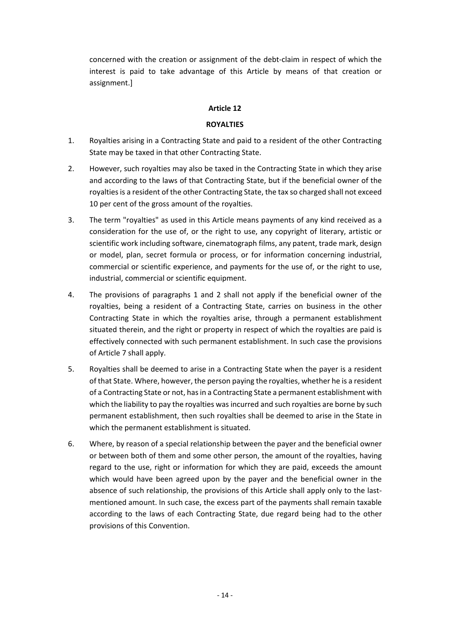concerned with the creation or assignment of the debt-claim in respect of which the interest is paid to take advantage of this Article by means of that creation or assignment.]

### **Article 12**

### **ROYALTIES**

- 1. Royalties arising in a Contracting State and paid to a resident of the other Contracting State may be taxed in that other Contracting State.
- 2. However, such royalties may also be taxed in the Contracting State in which they arise and according to the laws of that Contracting State, but if the beneficial owner of the royalties is a resident of the other Contracting State, the tax so charged shall not exceed 10 per cent of the gross amount of the royalties.
- 3. The term "royalties" as used in this Article means payments of any kind received as a consideration for the use of, or the right to use, any copyright of literary, artistic or scientific work including software, cinematograph films, any patent, trade mark, design or model, plan, secret formula or process, or for information concerning industrial, commercial or scientific experience, and payments for the use of, or the right to use, industrial, commercial or scientific equipment.
- 4. The provisions of paragraphs 1 and 2 shall not apply if the beneficial owner of the royalties, being a resident of a Contracting State, carries on business in the other Contracting State in which the royalties arise, through a permanent establishment situated therein, and the right or property in respect of which the royalties are paid is effectively connected with such permanent establishment. In such case the provisions of Article 7 shall apply.
- 5. Royalties shall be deemed to arise in a Contracting State when the payer is a resident of that State. Where, however, the person paying the royalties, whether he is a resident of a Contracting State or not, has in a Contracting State a permanent establishment with which the liability to pay the royalties was incurred and such royalties are borne by such permanent establishment, then such royalties shall be deemed to arise in the State in which the permanent establishment is situated.
- 6. Where, by reason of a special relationship between the payer and the beneficial owner or between both of them and some other person, the amount of the royalties, having regard to the use, right or information for which they are paid, exceeds the amount which would have been agreed upon by the payer and the beneficial owner in the absence of such relationship, the provisions of this Article shall apply only to the lastmentioned amount. In such case, the excess part of the payments shall remain taxable according to the laws of each Contracting State, due regard being had to the other provisions of this Convention.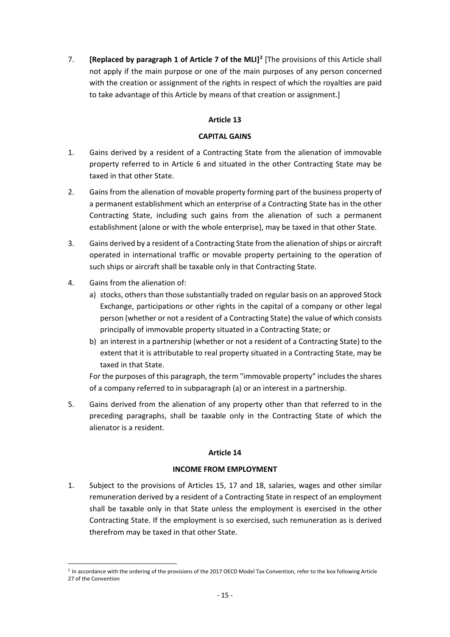7. **[Replaced by paragraph 1 of Article 7 of the MLI][2](#page-14-0)** [The provisions of this Article shall not apply if the main purpose or one of the main purposes of any person concerned with the creation or assignment of the rights in respect of which the royalties are paid to take advantage of this Article by means of that creation or assignment.]

# **Article 13**

# **CAPITAL GAINS**

- 1. Gains derived by a resident of a Contracting State from the alienation of immovable property referred to in Article 6 and situated in the other Contracting State may be taxed in that other State.
- 2. Gains from the alienation of movable property forming part of the business property of a permanent establishment which an enterprise of a Contracting State has in the other Contracting State, including such gains from the alienation of such a permanent establishment (alone or with the whole enterprise), may be taxed in that other State.
- 3. Gains derived by a resident of a Contracting State from the alienation of ships or aircraft operated in international traffic or movable property pertaining to the operation of such ships or aircraft shall be taxable only in that Contracting State.
- 4. Gains from the alienation of:
	- a) stocks, others than those substantially traded on regular basis on an approved Stock Exchange, participations or other rights in the capital of a company or other legal person (whether or not a resident of a Contracting State) the value of which consists principally of immovable property situated in a Contracting State; or
	- b) an interest in a partnership (whether or not a resident of a Contracting State) to the extent that it is attributable to real property situated in a Contracting State, may be taxed in that State.

For the purposes of this paragraph, the term "immovable property" includes the shares of a company referred to in subparagraph (a) or an interest in a partnership.

5. Gains derived from the alienation of any property other than that referred to in the preceding paragraphs, shall be taxable only in the Contracting State of which the alienator is a resident.

#### **Article 14**

#### **INCOME FROM EMPLOYMENT**

1. Subject to the provisions of Articles 15, 17 and 18, salaries, wages and other similar remuneration derived by a resident of a Contracting State in respect of an employment shall be taxable only in that State unless the employment is exercised in the other Contracting State. If the employment is so exercised, such remuneration as is derived therefrom may be taxed in that other State.

<span id="page-14-0"></span><sup>&</sup>lt;u>.</u>  $<sup>2</sup>$  In accordance with the ordering of the provisions of the 2017 OECD Model Tax Convention, refer to the box following Article</sup> 27 of the Convention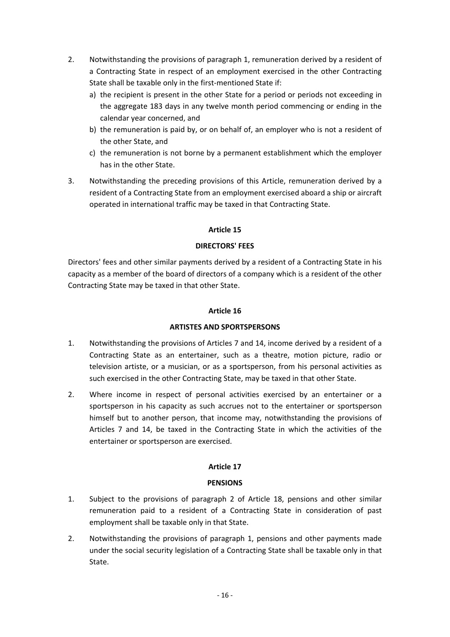- 2. Notwithstanding the provisions of paragraph 1, remuneration derived by a resident of a Contracting State in respect of an employment exercised in the other Contracting State shall be taxable only in the first-mentioned State if:
	- a) the recipient is present in the other State for a period or periods not exceeding in the aggregate 183 days in any twelve month period commencing or ending in the calendar year concerned, and
	- b) the remuneration is paid by, or on behalf of, an employer who is not a resident of the other State, and
	- c) the remuneration is not borne by a permanent establishment which the employer has in the other State.
- 3. Notwithstanding the preceding provisions of this Article, remuneration derived by a resident of a Contracting State from an employment exercised aboard a ship or aircraft operated in international traffic may be taxed in that Contracting State.

#### **DIRECTORS' FEES**

Directors' fees and other similar payments derived by a resident of a Contracting State in his capacity as a member of the board of directors of a company which is a resident of the other Contracting State may be taxed in that other State.

#### **Article 16**

#### **ARTISTES AND SPORTSPERSONS**

- 1. Notwithstanding the provisions of Articles 7 and 14, income derived by a resident of a Contracting State as an entertainer, such as a theatre, motion picture, radio or television artiste, or a musician, or as a sportsperson, from his personal activities as such exercised in the other Contracting State, may be taxed in that other State.
- 2. Where income in respect of personal activities exercised by an entertainer or a sportsperson in his capacity as such accrues not to the entertainer or sportsperson himself but to another person, that income may, notwithstanding the provisions of Articles 7 and 14, be taxed in the Contracting State in which the activities of the entertainer or sportsperson are exercised.

#### **Article 17**

#### **PENSIONS**

- 1. Subject to the provisions of paragraph 2 of Article 18, pensions and other similar remuneration paid to a resident of a Contracting State in consideration of past employment shall be taxable only in that State.
- 2. Notwithstanding the provisions of paragraph 1, pensions and other payments made under the social security legislation of a Contracting State shall be taxable only in that State.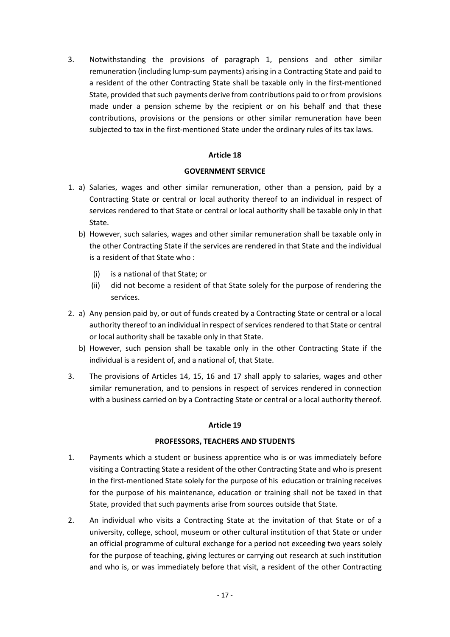3. Notwithstanding the provisions of paragraph 1, pensions and other similar remuneration (including lump-sum payments) arising in a Contracting State and paid to a resident of the other Contracting State shall be taxable only in the first-mentioned State, provided that such payments derive from contributions paid to or from provisions made under a pension scheme by the recipient or on his behalf and that these contributions, provisions or the pensions or other similar remuneration have been subjected to tax in the first-mentioned State under the ordinary rules of its tax laws.

### **Article 18**

### **GOVERNMENT SERVICE**

- 1. a) Salaries, wages and other similar remuneration, other than a pension, paid by a Contracting State or central or local authority thereof to an individual in respect of services rendered to that State or central or local authority shall be taxable only in that State.
	- b) However, such salaries, wages and other similar remuneration shall be taxable only in the other Contracting State if the services are rendered in that State and the individual is a resident of that State who :
		- (i) is a national of that State; or
		- (ii) did not become a resident of that State solely for the purpose of rendering the services.
- 2. a) Any pension paid by, or out of funds created by a Contracting State or central or a local authority thereof to an individual in respect of services rendered to that State or central or local authority shall be taxable only in that State.
	- b) However, such pension shall be taxable only in the other Contracting State if the individual is a resident of, and a national of, that State.
- 3. The provisions of Articles 14, 15, 16 and 17 shall apply to salaries, wages and other similar remuneration, and to pensions in respect of services rendered in connection with a business carried on by a Contracting State or central or a local authority thereof.

#### **Article 19**

#### **PROFESSORS, TEACHERS AND STUDENTS**

- 1. Payments which a student or business apprentice who is or was immediately before visiting a Contracting State a resident of the other Contracting State and who is present in the first-mentioned State solely for the purpose of his education or training receives for the purpose of his maintenance, education or training shall not be taxed in that State, provided that such payments arise from sources outside that State.
- 2. An individual who visits a Contracting State at the invitation of that State or of a university, college, school, museum or other cultural institution of that State or under an official programme of cultural exchange for a period not exceeding two years solely for the purpose of teaching, giving lectures or carrying out research at such institution and who is, or was immediately before that visit, a resident of the other Contracting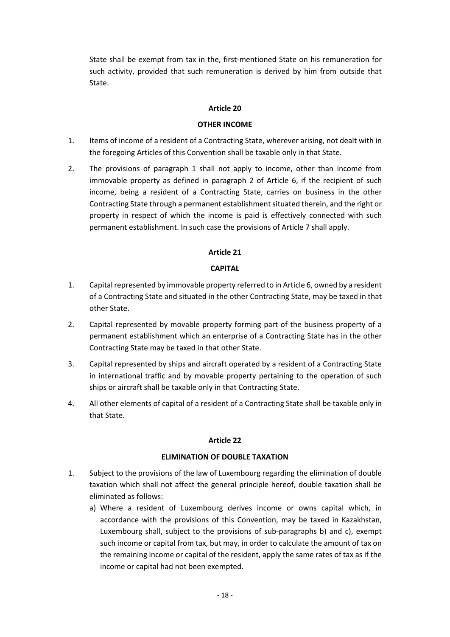State shall be exempt from tax in the, first-mentioned State on his remuneration for such activity, provided that such remuneration is derived by him from outside that State.

### **Article 20**

### **OTHER INCOME**

- 1. Items of income of a resident of a Contracting State, wherever arising, not dealt with in the foregoing Articles of this Convention shall be taxable only in that State.
- 2. The provisions of paragraph 1 shall not apply to income, other than income from immovable property as defined in paragraph 2 of Article 6, if the recipient of such income, being a resident of a Contracting State, carries on business in the other Contracting State through a permanent establishment situated therein, and the right or property in respect of which the income is paid is effectively connected with such permanent establishment. In such case the provisions of Article 7 shall apply.

# **Article 21**

# **CAPITAL**

- 1. Capital represented by immovable property referred to in Article 6, owned by a resident of a Contracting State and situated in the other Contracting State, may be taxed in that other State.
- 2. Capital represented by movable property forming part of the business property of a permanent establishment which an enterprise of a Contracting State has in the other Contracting State may be taxed in that other State.
- 3. Capital represented by ships and aircraft operated by a resident of a Contracting State in international traffic and by movable property pertaining to the operation of such ships or aircraft shall be taxable only in that Contracting State.
- 4. All other elements of capital of a resident of a Contracting State shall be taxable only in that State.

# **Article 22**

# **ELIMINATION OF DOUBLE TAXATION**

- 1. Subject to the provisions of the law of Luxembourg regarding the elimination of double taxation which shall not affect the general principle hereof, double taxation shall be eliminated as follows:
	- a) Where a resident of Luxembourg derives income or owns capital which, in accordance with the provisions of this Convention, may be taxed in Kazakhstan, Luxembourg shall, subject to the provisions of sub-paragraphs b) and c), exempt such income or capital from tax, but may, in order to calculate the amount of tax on the remaining income or capital of the resident, apply the same rates of tax as if the income or capital had not been exempted.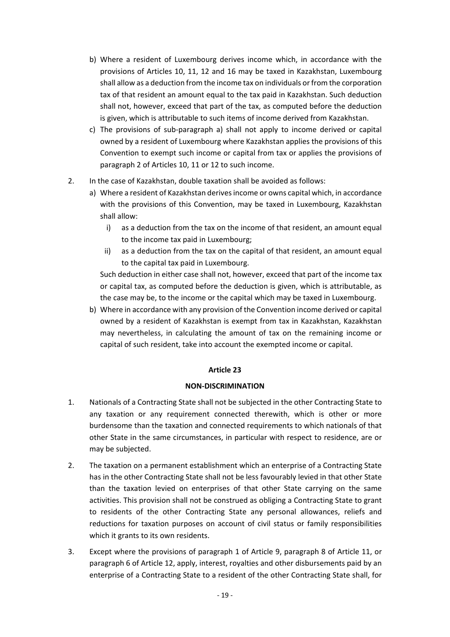- b) Where a resident of Luxembourg derives income which, in accordance with the provisions of Articles 10, 11, 12 and 16 may be taxed in Kazakhstan, Luxembourg shall allow as a deduction from the income tax on individuals or from the corporation tax of that resident an amount equal to the tax paid in Kazakhstan. Such deduction shall not, however, exceed that part of the tax, as computed before the deduction is given, which is attributable to such items of income derived from Kazakhstan.
- c) The provisions of sub-paragraph a) shall not apply to income derived or capital owned by a resident of Luxembourg where Kazakhstan applies the provisions of this Convention to exempt such income or capital from tax or applies the provisions of paragraph 2 of Articles 10, 11 or 12 to such income.
- 2. In the case of Kazakhstan, double taxation shall be avoided as follows:
	- a) Where a resident of Kazakhstan derives income or owns capital which, in accordance with the provisions of this Convention, may be taxed in Luxembourg, Kazakhstan shall allow:
		- i) as a deduction from the tax on the income of that resident, an amount equal to the income tax paid in Luxembourg;
		- ii) as a deduction from the tax on the capital of that resident, an amount equal to the capital tax paid in Luxembourg.

Such deduction in either case shall not, however, exceed that part of the income tax or capital tax, as computed before the deduction is given, which is attributable, as the case may be, to the income or the capital which may be taxed in Luxembourg.

b) Where in accordance with any provision of the Convention income derived or capital owned by a resident of Kazakhstan is exempt from tax in Kazakhstan, Kazakhstan may nevertheless, in calculating the amount of tax on the remaining income or capital of such resident, take into account the exempted income or capital.

# **Article 23**

# **NON-DISCRIMINATION**

- 1. Nationals of a Contracting State shall not be subjected in the other Contracting State to any taxation or any requirement connected therewith, which is other or more burdensome than the taxation and connected requirements to which nationals of that other State in the same circumstances, in particular with respect to residence, are or may be subjected.
- 2. The taxation on a permanent establishment which an enterprise of a Contracting State has in the other Contracting State shall not be less favourably levied in that other State than the taxation levied on enterprises of that other State carrying on the same activities. This provision shall not be construed as obliging a Contracting State to grant to residents of the other Contracting State any personal allowances, reliefs and reductions for taxation purposes on account of civil status or family responsibilities which it grants to its own residents.
- 3. Except where the provisions of paragraph 1 of Article 9, paragraph 8 of Article 11, or paragraph 6 of Article 12, apply, interest, royalties and other disbursements paid by an enterprise of a Contracting State to a resident of the other Contracting State shall, for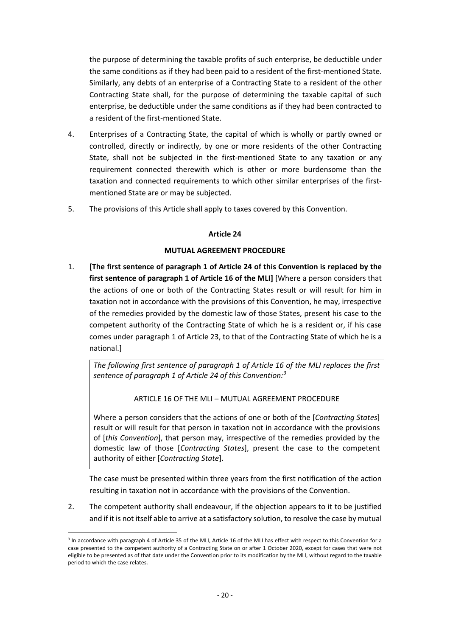the purpose of determining the taxable profits of such enterprise, be deductible under the same conditions as if they had been paid to a resident of the first-mentioned State. Similarly, any debts of an enterprise of a Contracting State to a resident of the other Contracting State shall, for the purpose of determining the taxable capital of such enterprise, be deductible under the same conditions as if they had been contracted to a resident of the first-mentioned State.

- 4. Enterprises of a Contracting State, the capital of which is wholly or partly owned or controlled, directly or indirectly, by one or more residents of the other Contracting State, shall not be subjected in the first-mentioned State to any taxation or any requirement connected therewith which is other or more burdensome than the taxation and connected requirements to which other similar enterprises of the firstmentioned State are or may be subjected.
- 5. The provisions of this Article shall apply to taxes covered by this Convention.

# **Article 24**

# **MUTUAL AGREEMENT PROCEDURE**

1. **[The first sentence of paragraph 1 of Article 24 of this Convention is replaced by the first sentence of paragraph 1 of Article 16 of the MLI]** [Where a person considers that the actions of one or both of the Contracting States result or will result for him in taxation not in accordance with the provisions of this Convention, he may, irrespective of the remedies provided by the domestic law of those States, present his case to the competent authority of the Contracting State of which he is a resident or, if his case comes under paragraph 1 of Article 23, to that of the Contracting State of which he is a national.]

*The following first sentence of paragraph 1 of Article 16 of the MLI replaces the first sentence of paragraph 1 of Article 24 of this Convention:[3](#page-19-0)*

ARTICLE 16 OF THE MLI – MUTUAL AGREEMENT PROCEDURE

Where a person considers that the actions of one or both of the [*Contracting States*] result or will result for that person in taxation not in accordance with the provisions of [*this Convention*], that person may, irrespective of the remedies provided by the domestic law of those [*Contracting States*], present the case to the competent authority of either [*Contracting State*].

The case must be presented within three years from the first notification of the action resulting in taxation not in accordance with the provisions of the Convention.

2. The competent authority shall endeavour, if the objection appears to it to be justified and if it is not itself able to arrive at a satisfactory solution, to resolve the case by mutual

<span id="page-19-0"></span><sup>-</sup><sup>3</sup> In accordance with paragraph 4 of Article 35 of the MLI, Article 16 of the MLI has effect with respect to this Convention for a case presented to the competent authority of a Contracting State on or after 1 October 2020, except for cases that were not eligible to be presented as of that date under the Convention prior to its modification by the MLI, without regard to the taxable period to which the case relates.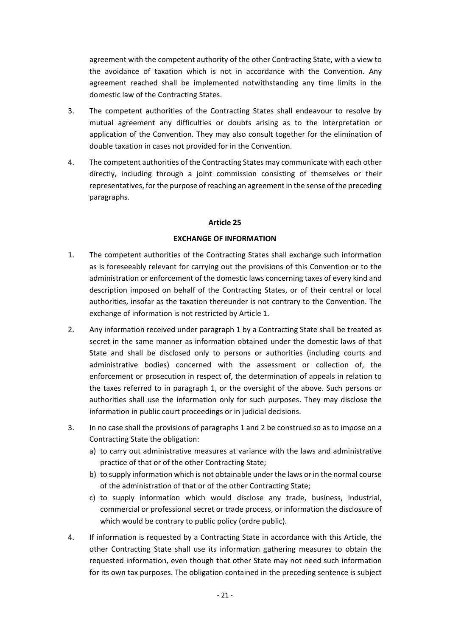agreement with the competent authority of the other Contracting State, with a view to the avoidance of taxation which is not in accordance with the Convention. Any agreement reached shall be implemented notwithstanding any time limits in the domestic law of the Contracting States.

- 3. The competent authorities of the Contracting States shall endeavour to resolve by mutual agreement any difficulties or doubts arising as to the interpretation or application of the Convention. They may also consult together for the elimination of double taxation in cases not provided for in the Convention.
- 4. The competent authorities of the Contracting States may communicate with each other directly, including through a joint commission consisting of themselves or their representatives, for the purpose of reaching an agreement in the sense of the preceding paragraphs.

# **Article 25**

### **EXCHANGE OF INFORMATION**

- 1. The competent authorities of the Contracting States shall exchange such information as is foreseeably relevant for carrying out the provisions of this Convention or to the administration or enforcement of the domestic laws concerning taxes of every kind and description imposed on behalf of the Contracting States, or of their central or local authorities, insofar as the taxation thereunder is not contrary to the Convention. The exchange of information is not restricted by Article 1.
- 2. Any information received under paragraph 1 by a Contracting State shall be treated as secret in the same manner as information obtained under the domestic laws of that State and shall be disclosed only to persons or authorities (including courts and administrative bodies) concerned with the assessment or collection of, the enforcement or prosecution in respect of, the determination of appeals in relation to the taxes referred to in paragraph 1, or the oversight of the above. Such persons or authorities shall use the information only for such purposes. They may disclose the information in public court proceedings or in judicial decisions.
- 3. In no case shall the provisions of paragraphs 1 and 2 be construed so as to impose on a Contracting State the obligation:
	- a) to carry out administrative measures at variance with the laws and administrative practice of that or of the other Contracting State;
	- b) to supply information which is not obtainable under the laws or in the normal course of the administration of that or of the other Contracting State;
	- c) to supply information which would disclose any trade, business, industrial, commercial or professional secret or trade process, or information the disclosure of which would be contrary to public policy (ordre public).
- 4. If information is requested by a Contracting State in accordance with this Article, the other Contracting State shall use its information gathering measures to obtain the requested information, even though that other State may not need such information for its own tax purposes. The obligation contained in the preceding sentence is subject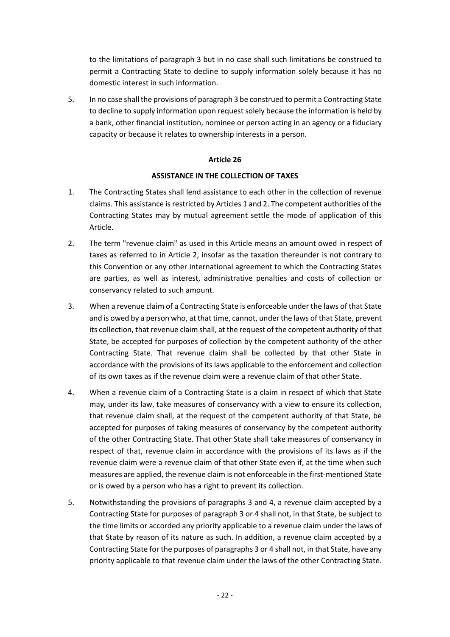to the limitations of paragraph 3 but in no case shall such limitations be construed to permit a Contracting State to decline to supply information solely because it has no domestic interest in such information.

5. In no case shall the provisions of paragraph 3 be construed to permit a Contracting State to decline to supply information upon request solely because the information is held by a bank, other financial institution, nominee or person acting in an agency or a fiduciary capacity or because it relates to ownership interests in a person.

### **Article 26**

# **ASSISTANCE IN THE COLLECTION OF TAXES**

- 1. The Contracting States shall lend assistance to each other in the collection of revenue claims. This assistance is restricted by Articles 1 and 2. The competent authorities of the Contracting States may by mutual agreement settle the mode of application of this Article.
- 2. The term "revenue claim" as used in this Article means an amount owed in respect of taxes as referred to in Article 2, insofar as the taxation thereunder is not contrary to this Convention or any other international agreement to which the Contracting States are parties, as well as interest, administrative penalties and costs of collection or conservancy related to such amount.
- 3. When a revenue claim of a Contracting State is enforceable under the laws of that State and is owed by a person who, at that time, cannot, under the laws of that State, prevent its collection, that revenue claim shall, at the request of the competent authority of that State, be accepted for purposes of collection by the competent authority of the other Contracting State. That revenue claim shall be collected by that other State in accordance with the provisions of its laws applicable to the enforcement and collection of its own taxes as if the revenue claim were a revenue claim of that other State.
- 4. When a revenue claim of a Contracting State is a claim in respect of which that State may, under its law, take measures of conservancy with a view to ensure its collection, that revenue claim shall, at the request of the competent authority of that State, be accepted for purposes of taking measures of conservancy by the competent authority of the other Contracting State. That other State shall take measures of conservancy in respect of that, revenue claim in accordance with the provisions of its laws as if the revenue claim were a revenue claim of that other State even if, at the time when such measures are applied, the revenue claim is not enforceable in the first-mentioned State or is owed by a person who has a right to prevent its collection.
- 5. Notwithstanding the provisions of paragraphs 3 and 4, a revenue claim accepted by a Contracting State for purposes of paragraph 3 or 4 shall not, in that State, be subject to the time limits or accorded any priority applicable to a revenue claim under the laws of that State by reason of its nature as such. In addition, a revenue claim accepted by a Contracting State for the purposes of paragraphs 3 or 4 shall not, in that State, have any priority applicable to that revenue claim under the laws of the other Contracting State.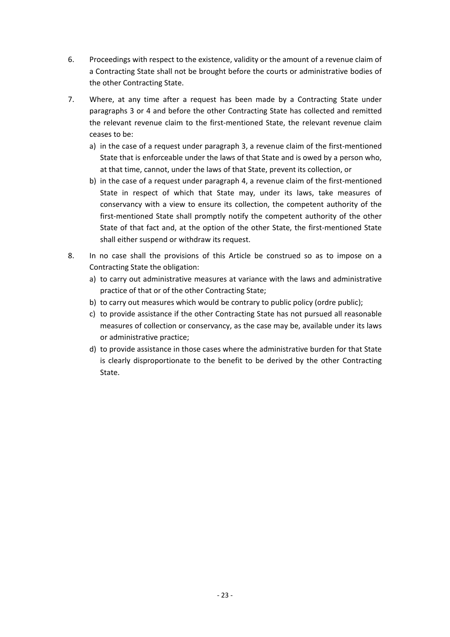- 6. Proceedings with respect to the existence, validity or the amount of a revenue claim of a Contracting State shall not be brought before the courts or administrative bodies of the other Contracting State.
- 7. Where, at any time after a request has been made by a Contracting State under paragraphs 3 or 4 and before the other Contracting State has collected and remitted the relevant revenue claim to the first-mentioned State, the relevant revenue claim ceases to be:
	- a) in the case of a request under paragraph 3, a revenue claim of the first-mentioned State that is enforceable under the laws of that State and is owed by a person who, at that time, cannot, under the laws of that State, prevent its collection, or
	- b) in the case of a request under paragraph 4, a revenue claim of the first-mentioned State in respect of which that State may, under its laws, take measures of conservancy with a view to ensure its collection, the competent authority of the first-mentioned State shall promptly notify the competent authority of the other State of that fact and, at the option of the other State, the first-mentioned State shall either suspend or withdraw its request.
- 8. In no case shall the provisions of this Article be construed so as to impose on a Contracting State the obligation:
	- a) to carry out administrative measures at variance with the laws and administrative practice of that or of the other Contracting State;
	- b) to carry out measures which would be contrary to public policy (ordre public);
	- c) to provide assistance if the other Contracting State has not pursued all reasonable measures of collection or conservancy, as the case may be, available under its laws or administrative practice;
	- d) to provide assistance in those cases where the administrative burden for that State is clearly disproportionate to the benefit to be derived by the other Contracting State.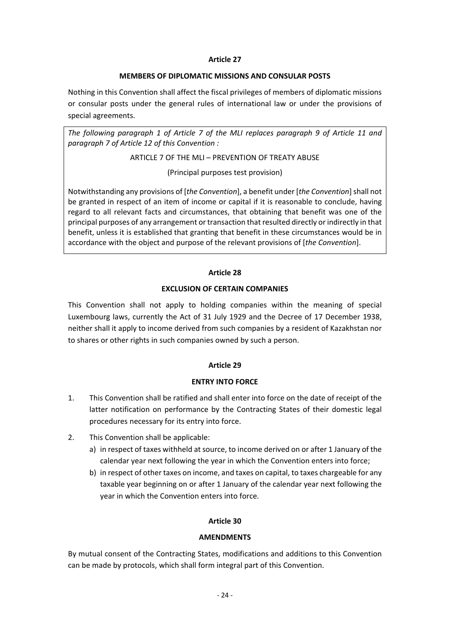### **MEMBERS OF DIPLOMATIC MISSIONS AND CONSULAR POSTS**

Nothing in this Convention shall affect the fiscal privileges of members of diplomatic missions or consular posts under the general rules of international law or under the provisions of special agreements.

*The following paragraph 1 of Article 7 of the MLI replaces paragraph 9 of Article 11 and paragraph 7 of Article 12 of this Convention :*

ARTICLE 7 OF THE MLI – PREVENTION OF TREATY ABUSE

(Principal purposes test provision)

Notwithstanding any provisions of [the Convention], a benefit under [the Convention] shall not be granted in respect of an item of income or capital if it is reasonable to conclude, having regard to all relevant facts and circumstances, that obtaining that benefit was one of the principal purposes of any arrangement or transaction that resulted directly or indirectly in that benefit, unless it is established that granting that benefit in these circumstances would be in accordance with the object and purpose of the relevant provisions of [*the Convention*].

# **Article 28**

# **EXCLUSION OF CERTAIN COMPANIES**

This Convention shall not apply to holding companies within the meaning of special Luxembourg laws, currently the Act of 31 July 1929 and the Decree of 17 December 1938, neither shall it apply to income derived from such companies by a resident of Kazakhstan nor to shares or other rights in such companies owned by such a person.

# **Article 29**

# **ENTRY INTO FORCE**

- 1. This Convention shall be ratified and shall enter into force on the date of receipt of the latter notification on performance by the Contracting States of their domestic legal procedures necessary for its entry into force.
- 2. This Convention shall be applicable:
	- a) in respect of taxes withheld at source, to income derived on or after 1 January of the calendar year next following the year in which the Convention enters into force;
	- b) in respect of other taxes on income, and taxes on capital, to taxes chargeable for any taxable year beginning on or after 1 January of the calendar year next following the year in which the Convention enters into force.

# **Article 30**

# **AMENDMENTS**

By mutual consent of the Contracting States, modifications and additions to this Convention can be made by protocols, which shall form integral part of this Convention.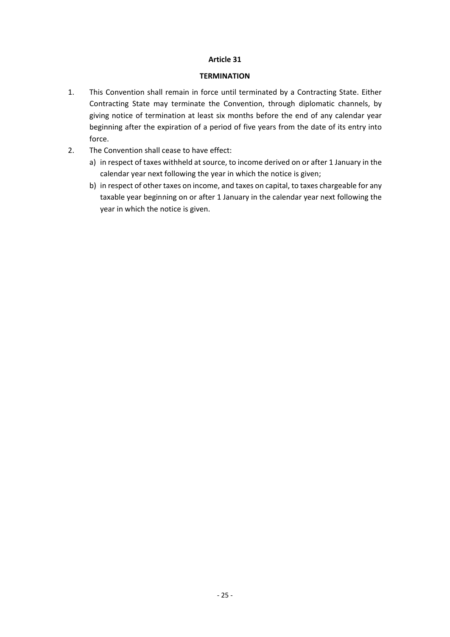### **TERMINATION**

- 1. This Convention shall remain in force until terminated by a Contracting State. Either Contracting State may terminate the Convention, through diplomatic channels, by giving notice of termination at least six months before the end of any calendar year beginning after the expiration of a period of five years from the date of its entry into force.
- 2. The Convention shall cease to have effect:
	- a) in respect of taxes withheld at source, to income derived on or after 1 January in the calendar year next following the year in which the notice is given;
	- b) in respect of other taxes on income, and taxes on capital, to taxes chargeable for any taxable year beginning on or after 1 January in the calendar year next following the year in which the notice is given.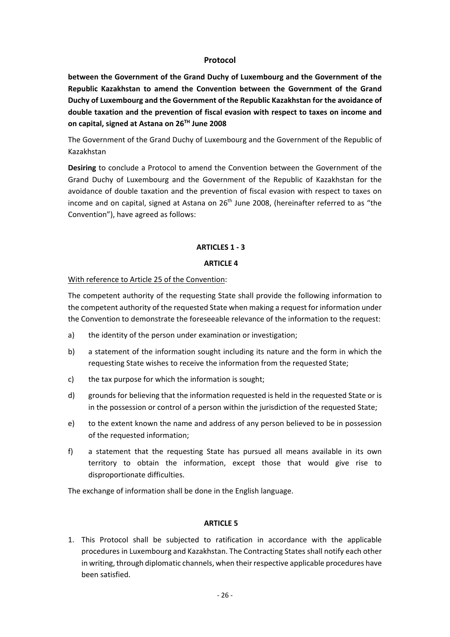# **Protocol**

**between the Government of the Grand Duchy of Luxembourg and the Government of the Republic Kazakhstan to amend the Convention between the Government of the Grand Duchy of Luxembourg and the Government of the Republic Kazakhstan for the avoidance of double taxation and the prevention of fiscal evasion with respect to taxes on income and on capital, signed at Astana on 26TH June 2008**

The Government of the Grand Duchy of Luxembourg and the Government of the Republic of Kazakhstan

**Desiring** to conclude a Protocol to amend the Convention between the Government of the Grand Duchy of Luxembourg and the Government of the Republic of Kazakhstan for the avoidance of double taxation and the prevention of fiscal evasion with respect to taxes on income and on capital, signed at Astana on 26<sup>th</sup> June 2008, (hereinafter referred to as "the Convention"), have agreed as follows:

# **ARTICLES 1 - 3**

### **ARTICLE 4**

### With reference to Article 25 of the Convention:

The competent authority of the requesting State shall provide the following information to the competent authority of the requested State when making a request for information under the Convention to demonstrate the foreseeable relevance of the information to the request:

- a) the identity of the person under examination or investigation;
- b) a statement of the information sought including its nature and the form in which the requesting State wishes to receive the information from the requested State;
- c) the tax purpose for which the information is sought;
- d) grounds for believing that the information requested is held in the requested State or is in the possession or control of a person within the jurisdiction of the requested State;
- e) to the extent known the name and address of any person believed to be in possession of the requested information;
- f) a statement that the requesting State has pursued all means available in its own territory to obtain the information, except those that would give rise to disproportionate difficulties.

The exchange of information shall be done in the English language.

# **ARTICLE 5**

1. This Protocol shall be subjected to ratification in accordance with the applicable procedures in Luxembourg and Kazakhstan. The Contracting States shall notify each other in writing, through diplomatic channels, when their respective applicable procedures have been satisfied.